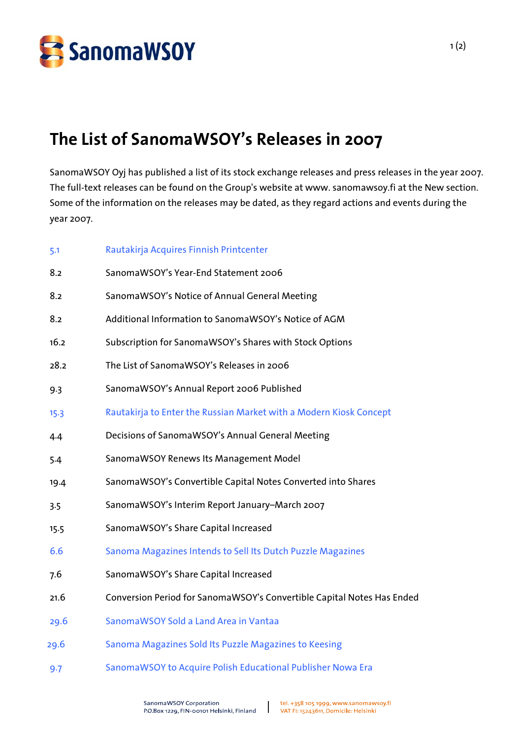

## **The List of SanomaWSOY's Releases in 2007**

SanomaWSOY Oyj has published a list of its stock exchange releases and press releases in the year 2007. The full-text releases can be found on the Group's website at www. sanomawsoy.fi at the New section. Some of the information on the releases may be dated, as they regard actions and events during the year 2007.

| 5.1  | Rautakirja Acquires Finnish Printcenter                                |
|------|------------------------------------------------------------------------|
| 8.2  | SanomaWSOY's Year-End Statement 2006                                   |
| 8.2  | SanomaWSOY's Notice of Annual General Meeting                          |
| 8.2  | Additional Information to SanomaWSOY's Notice of AGM                   |
| 16.2 | Subscription for SanomaWSOY's Shares with Stock Options                |
| 28.2 | The List of SanomaWSOY's Releases in 2006                              |
| 9.3  | SanomaWSOY's Annual Report 2006 Published                              |
| 15.3 | Rautakirja to Enter the Russian Market with a Modern Kiosk Concept     |
| 4.4  | Decisions of SanomaWSOY's Annual General Meeting                       |
| 5.4  | SanomaWSOY Renews Its Management Model                                 |
| 19.4 | SanomaWSOY's Convertible Capital Notes Converted into Shares           |
| 3.5  | SanomaWSOY's Interim Report January-March 2007                         |
| 15.5 | SanomaWSOY's Share Capital Increased                                   |
| 6.6  | Sanoma Magazines Intends to Sell Its Dutch Puzzle Magazines            |
| 7.6  | SanomaWSOY's Share Capital Increased                                   |
| 21.6 | Conversion Period for SanomaWSOY's Convertible Capital Notes Has Ended |
| 29.6 | SanomaWSOY Sold a Land Area in Vantaa                                  |
| 29.6 | Sanoma Magazines Sold Its Puzzle Magazines to Keesing                  |
| 9.7  | SanomaWSOY to Acquire Polish Educational Publisher Nowa Era            |